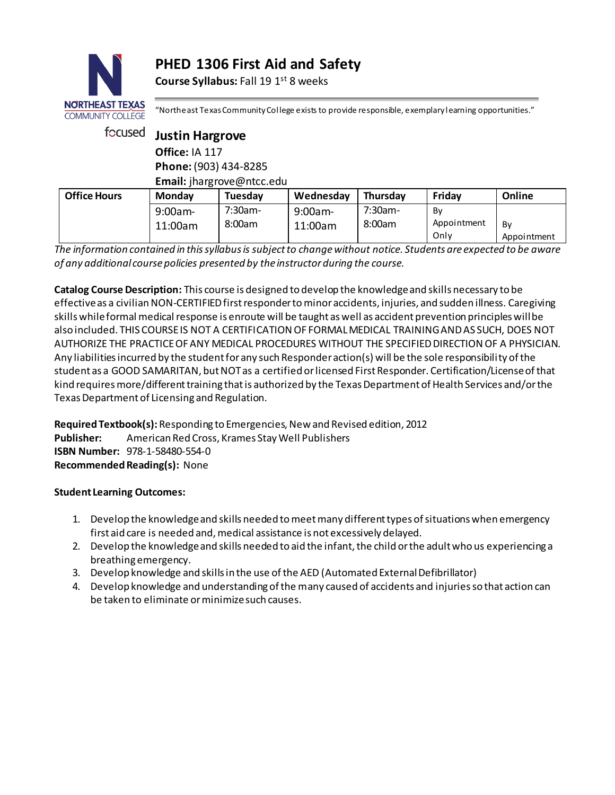# **PHED 1306 First Aid and Safety**

**Course Syllabus:** Fall 19 1<sup>st</sup> 8 weeks



"Northeast Texas Community College exists to provide responsible, exemplary learning opportunities."

Only

Appointment

| focused               | <b>Justin Hargrove</b><br>Office: IA 117 |                           |            |           |             |        |  |  |
|-----------------------|------------------------------------------|---------------------------|------------|-----------|-------------|--------|--|--|
|                       |                                          |                           |            |           |             |        |  |  |
| Phone: (903) 434-8285 |                                          |                           |            |           |             |        |  |  |
|                       |                                          | Email: jhargrove@ntcc.edu |            |           |             |        |  |  |
| <b>Office Hours</b>   | Monday                                   | Tuesday                   | Wednesday  | Thursday  | Friday      | Online |  |  |
|                       | $9:00$ am-                               | $7:30$ am-                | $9:00am -$ | $7:30am-$ | By          |        |  |  |
|                       | 11:00am                                  | 8:00am                    | 11:00am    | 8:00am    | Appointment | By     |  |  |

*The information contained in this syllabus is subject to change without notice. Students are expected to be aware of any additional course policies presented by the instructor during the course.*

**Catalog Course Description:** This course is designed to develop the knowledge and skills necessary to be effective as a civilian NON-CERTIFIED first responder to minor accidents, injuries, and sudden illness. Caregiving skills while formal medical response is enroute will be taught as well as accident prevention principles will be also included. THIS COURSE IS NOT A CERTIFICATION OF FORMAL MEDICAL TRAINING AND AS SUCH, DOES NOT AUTHORIZE THE PRACTICE OF ANY MEDICAL PROCEDURES WITHOUT THE SPECIFIED DIRECTION OF A PHYSICIAN. Any liabilities incurred by the student for any such Responder action(s) will be the sole responsibility of the student as a GOOD SAMARITAN, but NOT as a certified or licensed First Responder. Certification/License of that kind requires more/different training that is authorized by the Texas Department of Health Services and/or the Texas Department of Licensing and Regulation.

**Required Textbook(s):** Responding to Emergencies, New and Revised edition, 2012 **Publisher:** American Red Cross, Krames Stay Well Publishers **ISBN Number:** 978-1-58480-554-0 **Recommended Reading(s):** None

### **Student Learning Outcomes:**

- 1. Develop the knowledge and skills needed to meet many different types of situations when emergency first aid care is needed and, medical assistance is not excessively delayed.
- 2. Develop the knowledge and skills needed to aid the infant, the child or the adult who us experiencing a breathing emergency.
- 3. Develop knowledge and skills in the use of the AED (Automated External Defibrillator)
- 4. Develop knowledge and understanding of the many caused of accidents and injuries so that action can be taken to eliminate or minimize such causes.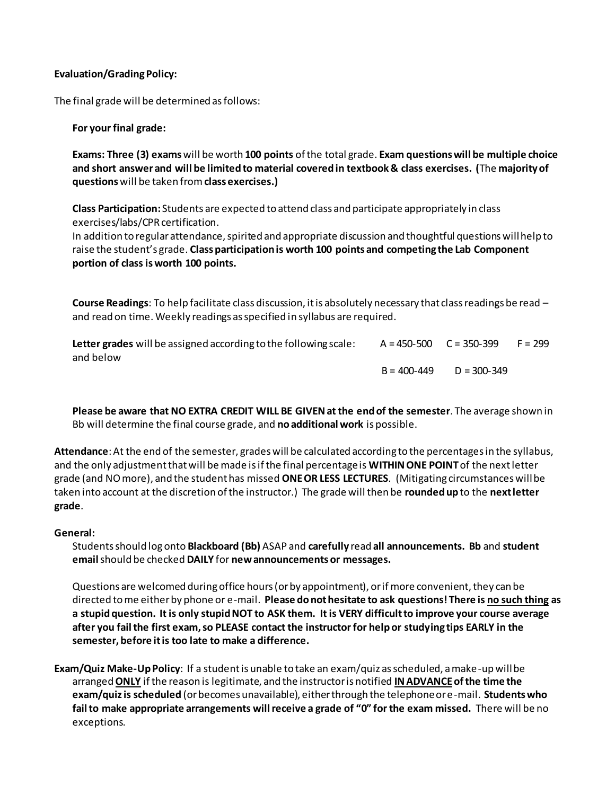#### **Evaluation/Grading Policy:**

The final grade will be determined as follows:

**For your final grade:**

**Exams: Three (3) exams**will be worth **100 points** of the total grade. **Exam questions will be multiple choice and short answer and will be limited to material covered in textbook & class exercises. (**The **majority of questions** will be taken from**class exercises.)**

**Class Participation:** Students are expected to attend class and participate appropriately in class exercises/labs/CPR certification.

In addition to regular attendance, spirited and appropriate discussion and thoughtful questions will help to raise the student's grade. **Class participation is worth 100 points and competing the Lab Component portion of class is worth 100 points.** 

**Course Readings**: To help facilitate class discussion, it is absolutely necessary that class readings be read – and read on time. Weekly readings as specified in syllabus are required.

| Letter grades will be assigned according to the following scale: | $A = 450 - 500$ $C = 350 - 399$ |                 | $F = 299$ |
|------------------------------------------------------------------|---------------------------------|-----------------|-----------|
| and below                                                        |                                 |                 |           |
|                                                                  | $B = 400 - 449$                 | $D = 300 - 349$ |           |

**Please be aware that NO EXTRA CREDIT WILL BE GIVEN at the end of the semester**. The average shown in Bb will determine the final course grade, and **no additional work** is possible.

**Attendance**:At the end of the semester, grades will be calculated according to the percentages in the syllabus, and the only adjustment that will be made is if the final percentage is **WITHIN ONE POINT**of the next letter grade (and NO more), and the student has missed **ONEOR LESS LECTURES**. (Mitigating circumstances will be taken into account at the discretion of the instructor.) The grade will then be **rounded up** to the **next letter grade**.

#### **General:**

Students should log onto **Blackboard (Bb)** ASAP and **carefully** read **all announcements. Bb** and **student email** should be checked **DAILY** for **new announcements or messages.** 

Questions are welcomed during office hours (or by appointment), or if more convenient, they can be directed to me either by phone or e-mail. **Please do not hesitate to ask questions! There is no such thing as a stupid question. It is only stupid NOT to ASK them. It is VERY difficult to improve your course average after you fail the first exam, so PLEASE contact the instructor for help or studying tips EARLY in the semester, before it is too late to make a difference.** 

**Exam/Quiz Make-Up Policy**: If a student is unable to take an exam/quiz as scheduled, a make-up will be arranged **ONLY** if the reason is legitimate, and the instructor is notified **IN ADVANCEof the time the exam/quiz is scheduled** (or becomes unavailable), either through the telephone or e-mail. **Students who fail to make appropriate arrangements will receive a grade of "0" for the exam missed.** There will be no exceptions.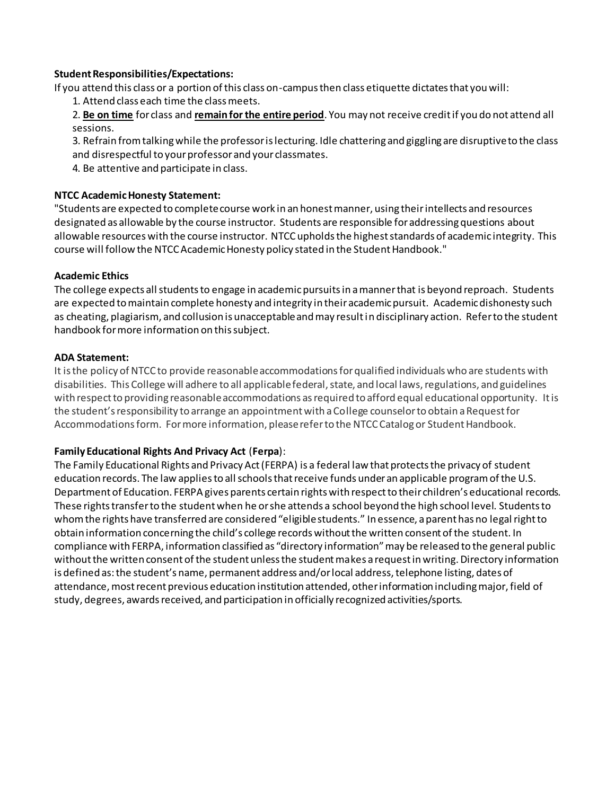#### **Student Responsibilities/Expectations:**

If you attend this class or a portion of this class on-campus then class etiquette dictates that you will:

- 1. Attend class each time the class meets.
- 2. **Be on time** for class and **remain for the entire period**. You may not receive credit if you do not attend all sessions.
- 3. Refrain from talking while the professor is lecturing. Idle chattering and giggling are disruptive to the class and disrespectful to your professor and your classmates.
- 4. Be attentive and participate in class.

#### **NTCC Academic Honesty Statement:**

"Students are expected to complete course work in an honest manner, using their intellects and resources designated as allowable by the course instructor. Students are responsible for addressing questions about allowable resources with the course instructor. NTCC upholds the highest standards of academic integrity. This course will follow the NTCC Academic Honesty policy stated in the Student Handbook."

#### **Academic Ethics**

The college expects all students to engage in academic pursuits in a manner that is beyond reproach. Students are expected to maintain complete honesty and integrity in their academic pursuit. Academic dishonesty such as cheating, plagiarism, and collusion is unacceptable and may result in disciplinary action. Refer to the student handbook for more information on this subject.

#### **ADA Statement:**

It is the policy of NTCC to provide reasonable accommodations for qualified individuals who are students with disabilities. This College will adhere to all applicable federal, state, and local laws, regulations, and guidelines with respect to providing reasonable accommodations as required to afford equal educational opportunity. It is the student's responsibility to arrange an appointment with a College counselor to obtain a Request for Accommodations form. For more information, please refer to the NTCC Catalog or Student Handbook.

### **Family Educational Rights And Privacy Act** (**Ferpa**):

The Family Educational Rights and Privacy Act (FERPA) is a federal law that protects the privacy of student education records. The law applies to all schools that receive funds under an applicable program of the U.S. Department of Education. FERPA gives parents certain rights with respect to their children's educational records. These rights transfer to the student when he or she attends a school beyond the high school level. Students to whom the rights have transferred are considered "eligible students." In essence, a parent has no legal right to obtain information concerning the child's college records without the written consent of the student. In compliance with FERPA, information classified as "directory information" may be released to the general public without the written consent of the student unless the student makes a request in writing. Directory information is defined as: the student's name, permanent address and/or local address, telephone listing, dates of attendance, most recent previous education institution attended, other information including major, field of study, degrees, awards received, and participation in officially recognized activities/sports.